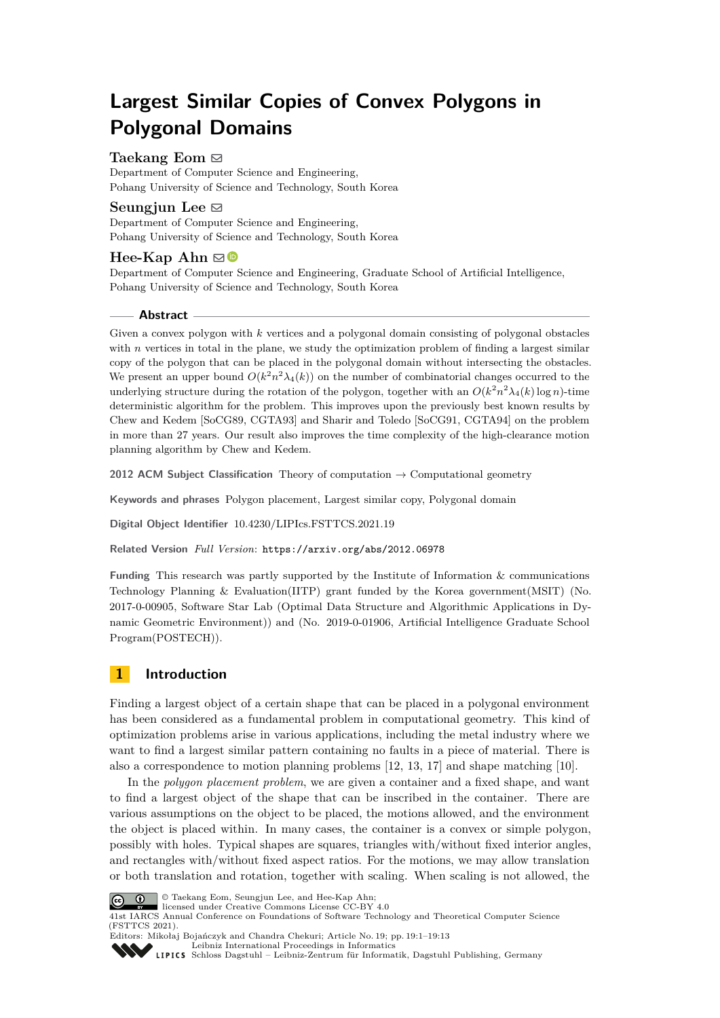# **Largest Similar Copies of Convex Polygons in Polygonal Domains**

## **Taekang Eom** ⊠

Department of Computer Science and Engineering, Pohang University of Science and Technology, South Korea

## Seungjun Lee  $\boxtimes$

Department of Computer Science and Engineering, Pohang University of Science and Technology, South Korea

# $\text{Hee-Kap}$  Ahn  $\boxtimes$

Department of Computer Science and Engineering, Graduate School of Artificial Intelligence, Pohang University of Science and Technology, South Korea

## **Abstract**

Given a convex polygon with *k* vertices and a polygonal domain consisting of polygonal obstacles with *n* vertices in total in the plane, we study the optimization problem of finding a largest similar copy of the polygon that can be placed in the polygonal domain without intersecting the obstacles. We present an upper bound  $O(k^2 n^2 \lambda_4(k))$  on the number of combinatorial changes occurred to the underlying structure during the rotation of the polygon, together with an  $O(k^2 n^2 \lambda_4(k) \log n)$ -time deterministic algorithm for the problem. This improves upon the previously best known results by Chew and Kedem [SoCG89, CGTA93] and Sharir and Toledo [SoCG91, CGTA94] on the problem in more than 27 years. Our result also improves the time complexity of the high-clearance motion planning algorithm by Chew and Kedem.

**2012 ACM Subject Classification** Theory of computation → Computational geometry

**Keywords and phrases** Polygon placement, Largest similar copy, Polygonal domain

**Digital Object Identifier** [10.4230/LIPIcs.FSTTCS.2021.19](https://doi.org/10.4230/LIPIcs.FSTTCS.2021.19)

**Related Version** *Full Version*: <https://arxiv.org/abs/2012.06978>

**Funding** This research was partly supported by the Institute of Information & communications Technology Planning & Evaluation(IITP) grant funded by the Korea government(MSIT) (No. 2017-0-00905, Software Star Lab (Optimal Data Structure and Algorithmic Applications in Dynamic Geometric Environment)) and (No. 2019-0-01906, Artificial Intelligence Graduate School Program(POSTECH)).

# **1 Introduction**

Finding a largest object of a certain shape that can be placed in a polygonal environment has been considered as a fundamental problem in computational geometry. This kind of optimization problems arise in various applications, including the metal industry where we want to find a largest similar pattern containing no faults in a piece of material. There is also a correspondence to motion planning problems [\[12,](#page-12-0) [13,](#page-12-1) [17\]](#page-12-2) and shape matching [\[10\]](#page-12-3).

In the *polygon placement problem*, we are given a container and a fixed shape, and want to find a largest object of the shape that can be inscribed in the container. There are various assumptions on the object to be placed, the motions allowed, and the environment the object is placed within. In many cases, the container is a convex or simple polygon, possibly with holes. Typical shapes are squares, triangles with/without fixed interior angles, and rectangles with/without fixed aspect ratios. For the motions, we may allow translation or both translation and rotation, together with scaling. When scaling is not allowed, the



© Taekang Eom, Seungjun Lee, and Hee-Kap Ahn;

licensed under Creative Commons License CC-BY 4.0 41st IARCS Annual Conference on Foundations of Software Technology and Theoretical Computer Science (FSTTCS 2021).



Editors: Mikołaj Bojańczyk and Chandra Chekuri; Article No. 19; pp. 19:1–19:13 [Leibniz International Proceedings in Informatics](https://www.dagstuhl.de/lipics/)

[Schloss Dagstuhl – Leibniz-Zentrum für Informatik, Dagstuhl Publishing, Germany](https://www.dagstuhl.de)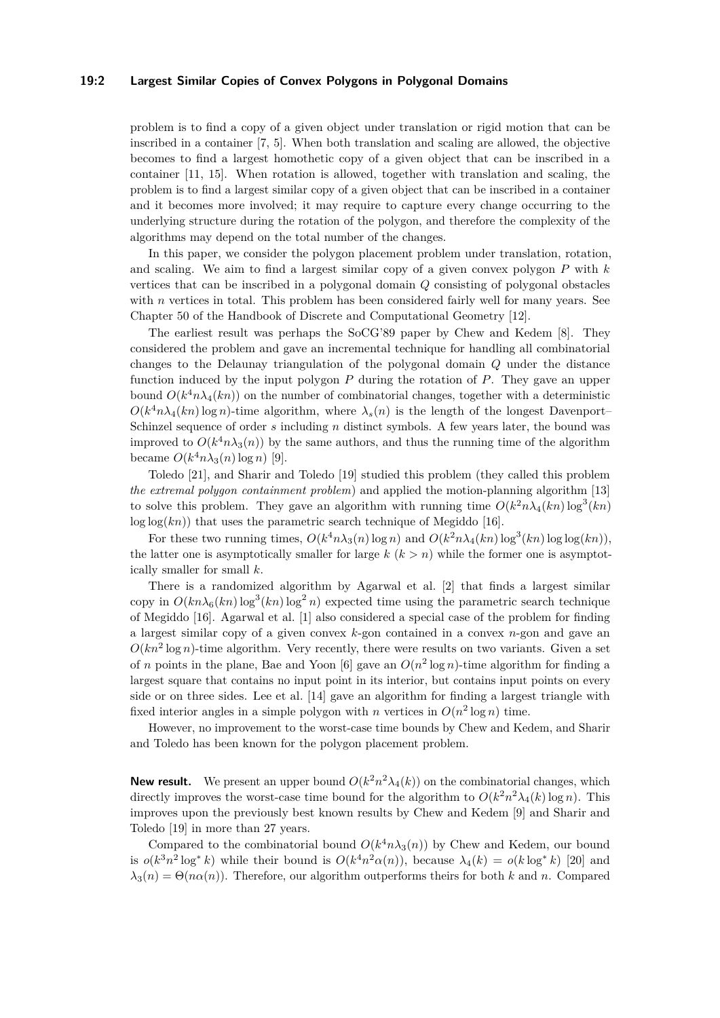#### **19:2 Largest Similar Copies of Convex Polygons in Polygonal Domains**

problem is to find a copy of a given object under translation or rigid motion that can be inscribed in a container [\[7,](#page-11-0) [5\]](#page-11-1). When both translation and scaling are allowed, the objective becomes to find a largest homothetic copy of a given object that can be inscribed in a container [\[11,](#page-12-4) [15\]](#page-12-5). When rotation is allowed, together with translation and scaling, the problem is to find a largest similar copy of a given object that can be inscribed in a container and it becomes more involved; it may require to capture every change occurring to the underlying structure during the rotation of the polygon, and therefore the complexity of the algorithms may depend on the total number of the changes.

In this paper, we consider the polygon placement problem under translation, rotation, and scaling. We aim to find a largest similar copy of a given convex polygon *P* with *k* vertices that can be inscribed in a polygonal domain *Q* consisting of polygonal obstacles with *n* vertices in total. This problem has been considered fairly well for many years. See Chapter 50 of the Handbook of Discrete and Computational Geometry [\[12\]](#page-12-0).

The earliest result was perhaps the SoCG'89 paper by Chew and Kedem [\[8\]](#page-11-2). They considered the problem and gave an incremental technique for handling all combinatorial changes to the Delaunay triangulation of the polygonal domain *Q* under the distance function induced by the input polygon *P* during the rotation of *P*. They gave an upper bound  $O(k^4 n \lambda_4(kn))$  on the number of combinatorial changes, together with a deterministic  $O(k^4 n \lambda_4(kn) \log n)$ -time algorithm, where  $\lambda_s(n)$  is the length of the longest Davenport– Schinzel sequence of order *s* including *n* distinct symbols. A few years later, the bound was improved to  $O(k^4 n \lambda_3(n))$  by the same authors, and thus the running time of the algorithm became  $O(k^4 n \lambda_3(n) \log n)$  [\[9\]](#page-12-6).

Toledo [\[21\]](#page-12-7), and Sharir and Toledo [\[19\]](#page-12-8) studied this problem (they called this problem *the extremal polygon containment problem*) and applied the motion-planning algorithm [\[13\]](#page-12-1) to solve this problem. They gave an algorithm with running time  $O(k^2 n \lambda_4(kn) \log^3(kn)$  $log log(kn)$ ) that uses the parametric search technique of Megiddo [\[16\]](#page-12-9).

For these two running times,  $O(k^4 n \lambda_3(n) \log n)$  and  $O(k^2 n \lambda_4(kn) \log^3(kn) \log \log(kn)$ , the latter one is asymptotically smaller for large  $k$   $(k > n)$  while the former one is asymptotically smaller for small *k*.

There is a randomized algorithm by Agarwal et al. [\[2\]](#page-11-3) that finds a largest similar copy in  $O(kn\lambda_6(kn)\log^3(kn)\log^2 n)$  expected time using the parametric search technique of Megiddo [\[16\]](#page-12-9). Agarwal et al. [\[1\]](#page-11-4) also considered a special case of the problem for finding a largest similar copy of a given convex *k*-gon contained in a convex *n*-gon and gave an  $O(kn^2 \log n)$ -time algorithm. Very recently, there were results on two variants. Given a set of *n* points in the plane, Bae and Yoon [\[6\]](#page-11-5) gave an  $O(n^2 \log n)$ -time algorithm for finding a largest square that contains no input point in its interior, but contains input points on every side or on three sides. Lee et al. [\[14\]](#page-12-10) gave an algorithm for finding a largest triangle with fixed interior angles in a simple polygon with *n* vertices in  $O(n^2 \log n)$  time.

However, no improvement to the worst-case time bounds by Chew and Kedem, and Sharir and Toledo has been known for the polygon placement problem.

**New result.** We present an upper bound  $O(k^2n^2\lambda_4(k))$  on the combinatorial changes, which directly improves the worst-case time bound for the algorithm to  $O(k^2 n^2 \lambda_4(k) \log n)$ . This improves upon the previously best known results by Chew and Kedem [\[9\]](#page-12-6) and Sharir and Toledo [\[19\]](#page-12-8) in more than 27 years.

Compared to the combinatorial bound  $O(k^4 n \lambda_3(n))$  by Chew and Kedem, our bound is  $o(k^3n^2 \log^* k)$  while their bound is  $O(k^4n^2\alpha(n))$ , because  $\lambda_4(k) = o(k \log^* k)$  [\[20\]](#page-12-11) and  $\lambda_3(n) = \Theta(n\alpha(n))$ . Therefore, our algorithm outperforms theirs for both *k* and *n*. Compared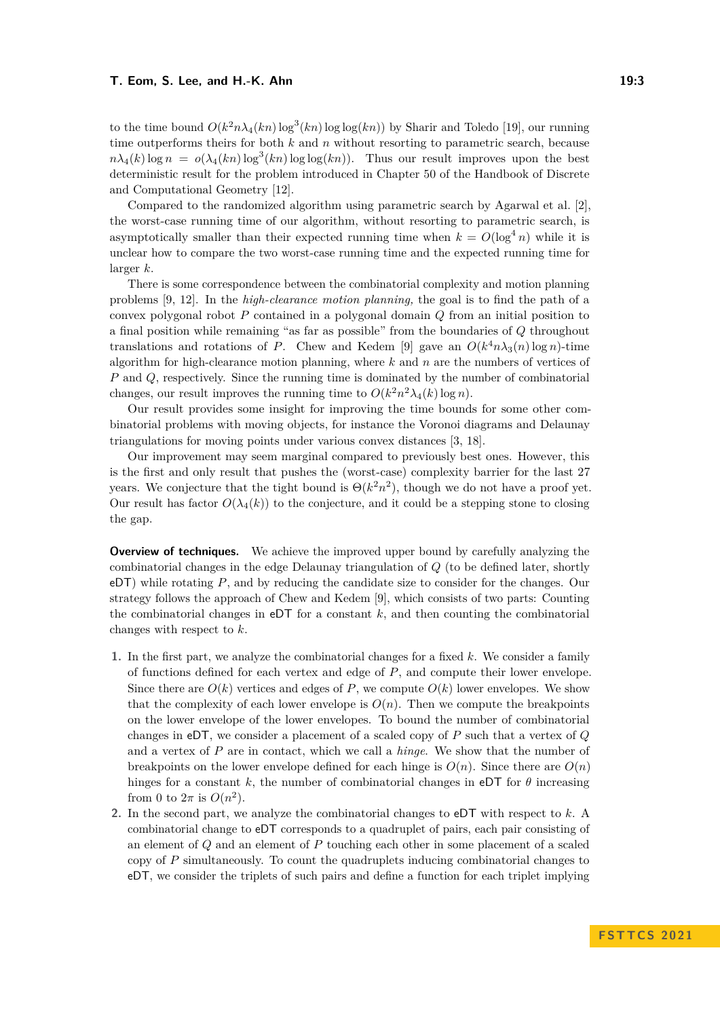to the time bound  $O(k^2 n \lambda_4(kn) \log^3(kn) \log \log(kn))$  by Sharir and Toledo [\[19\]](#page-12-8), our running time outperforms theirs for both *k* and *n* without resorting to parametric search, because  $n\lambda_4(k)$  log  $n = o(\lambda_4(kn) \log^3(kn) \log \log(kn))$ . Thus our result improves upon the best deterministic result for the problem introduced in Chapter 50 of the Handbook of Discrete and Computational Geometry [\[12\]](#page-12-0).

Compared to the randomized algorithm using parametric search by Agarwal et al. [\[2\]](#page-11-3), the worst-case running time of our algorithm, without resorting to parametric search, is asymptotically smaller than their expected running time when  $k = O(\log^4 n)$  while it is unclear how to compare the two worst-case running time and the expected running time for larger *k*.

There is some correspondence between the combinatorial complexity and motion planning problems [\[9,](#page-12-6) [12\]](#page-12-0). In the *high-clearance motion planning,* the goal is to find the path of a convex polygonal robot *P* contained in a polygonal domain *Q* from an initial position to a final position while remaining "as far as possible" from the boundaries of *Q* throughout translations and rotations of *P*. Chew and Kedem [\[9\]](#page-12-6) gave an  $O(k^4 n \lambda_3(n) \log n)$ -time algorithm for high-clearance motion planning, where *k* and *n* are the numbers of vertices of *P* and *Q*, respectively. Since the running time is dominated by the number of combinatorial changes, our result improves the running time to  $O(k^2 n^2 \lambda_4(k) \log n)$ .

Our result provides some insight for improving the time bounds for some other combinatorial problems with moving objects, for instance the Voronoi diagrams and Delaunay triangulations for moving points under various convex distances [\[3,](#page-11-6) [18\]](#page-12-12).

Our improvement may seem marginal compared to previously best ones. However, this is the first and only result that pushes the (worst-case) complexity barrier for the last 27 years. We conjecture that the tight bound is  $\Theta(k^2 n^2)$ , though we do not have a proof yet. Our result has factor  $O(\lambda_4(k))$  to the conjecture, and it could be a stepping stone to closing the gap.

**Overview of techniques.** We achieve the improved upper bound by carefully analyzing the combinatorial changes in the edge Delaunay triangulation of *Q* (to be defined later, shortly eDT) while rotating *P*, and by reducing the candidate size to consider for the changes. Our strategy follows the approach of Chew and Kedem [\[9\]](#page-12-6), which consists of two parts: Counting the combinatorial changes in  $eDT$  for a constant  $k$ , and then counting the combinatorial changes with respect to *k*.

- **1.** In the first part, we analyze the combinatorial changes for a fixed *k*. We consider a family of functions defined for each vertex and edge of *P*, and compute their lower envelope. Since there are  $O(k)$  vertices and edges of P, we compute  $O(k)$  lower envelopes. We show that the complexity of each lower envelope is  $O(n)$ . Then we compute the breakpoints on the lower envelope of the lower envelopes. To bound the number of combinatorial changes in eDT, we consider a placement of a scaled copy of *P* such that a vertex of *Q* and a vertex of *P* are in contact, which we call a *hinge*. We show that the number of breakpoints on the lower envelope defined for each hinge is  $O(n)$ . Since there are  $O(n)$ hinges for a constant k, the number of combinatorial changes in eDT for  $\theta$  increasing from 0 to  $2\pi$  is  $O(n^2)$ .
- **2.** In the second part, we analyze the combinatorial changes to eDT with respect to *k*. A combinatorial change to eDT corresponds to a quadruplet of pairs, each pair consisting of an element of *Q* and an element of *P* touching each other in some placement of a scaled copy of *P* simultaneously. To count the quadruplets inducing combinatorial changes to eDT, we consider the triplets of such pairs and define a function for each triplet implying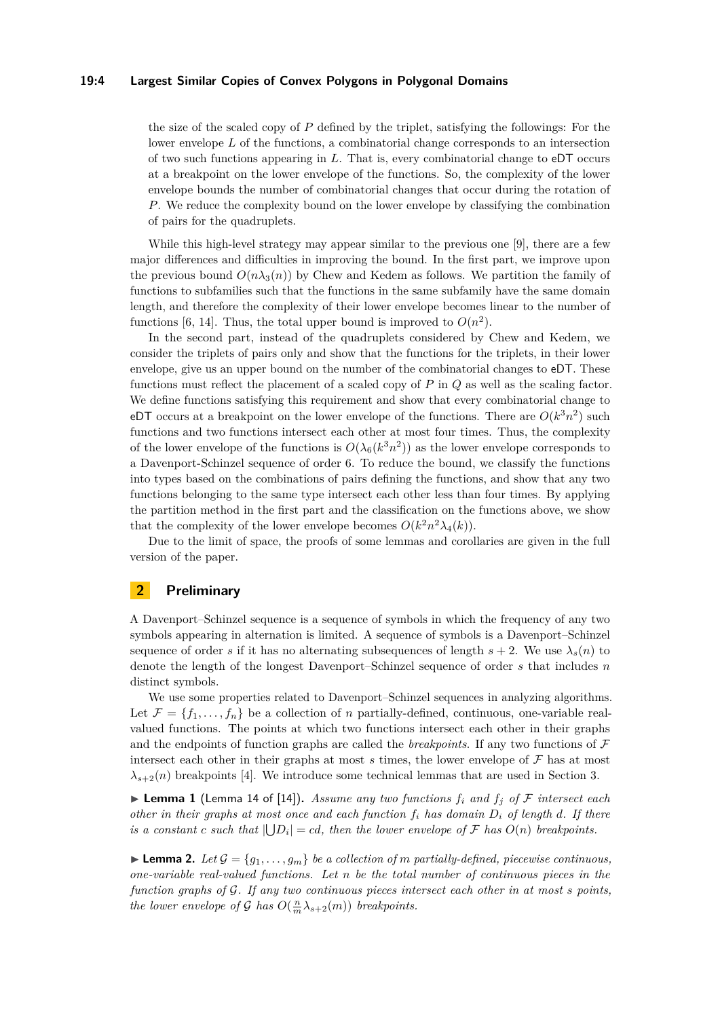#### **19:4 Largest Similar Copies of Convex Polygons in Polygonal Domains**

the size of the scaled copy of *P* defined by the triplet, satisfying the followings: For the lower envelope *L* of the functions, a combinatorial change corresponds to an intersection of two such functions appearing in *L*. That is, every combinatorial change to eDT occurs at a breakpoint on the lower envelope of the functions. So, the complexity of the lower envelope bounds the number of combinatorial changes that occur during the rotation of *P*. We reduce the complexity bound on the lower envelope by classifying the combination of pairs for the quadruplets.

While this high-level strategy may appear similar to the previous one [\[9\]](#page-12-6), there are a few major differences and difficulties in improving the bound. In the first part, we improve upon the previous bound  $O(n\lambda_3(n))$  by Chew and Kedem as follows. We partition the family of functions to subfamilies such that the functions in the same subfamily have the same domain length, and therefore the complexity of their lower envelope becomes linear to the number of functions [\[6,](#page-11-5) [14\]](#page-12-10). Thus, the total upper bound is improved to  $O(n^2)$ .

In the second part, instead of the quadruplets considered by Chew and Kedem, we consider the triplets of pairs only and show that the functions for the triplets, in their lower envelope, give us an upper bound on the number of the combinatorial changes to eDT. These functions must reflect the placement of a scaled copy of *P* in *Q* as well as the scaling factor. We define functions satisfying this requirement and show that every combinatorial change to eDT occurs at a breakpoint on the lower envelope of the functions. There are  $O(k^3n^2)$  such functions and two functions intersect each other at most four times. Thus, the complexity of the lower envelope of the functions is  $O(\lambda_6(k^3n^2))$  as the lower envelope corresponds to a Davenport-Schinzel sequence of order 6. To reduce the bound, we classify the functions into types based on the combinations of pairs defining the functions, and show that any two functions belonging to the same type intersect each other less than four times. By applying the partition method in the first part and the classification on the functions above, we show that the complexity of the lower envelope becomes  $O(k^2 n^2 \lambda_4(k))$ .

Due to the limit of space, the proofs of some lemmas and corollaries are given in the full version of the paper.

## **2 Preliminary**

A Davenport–Schinzel sequence is a sequence of symbols in which the frequency of any two symbols appearing in alternation is limited. A sequence of symbols is a Davenport–Schinzel sequence of order *s* if it has no alternating subsequences of length  $s + 2$ . We use  $\lambda_s(n)$  to denote the length of the longest Davenport–Schinzel sequence of order *s* that includes *n* distinct symbols.

We use some properties related to Davenport–Schinzel sequences in analyzing algorithms. Let  $\mathcal{F} = \{f_1, \ldots, f_n\}$  be a collection of *n* partially-defined, continuous, one-variable realvalued functions. The points at which two functions intersect each other in their graphs and the endpoints of function graphs are called the *breakpoints*. If any two functions of  $\mathcal F$ intersect each other in their graphs at most  $s$  times, the lower envelope of  $\mathcal F$  has at most  $\lambda_{s+2}(n)$  breakpoints [\[4\]](#page-11-7). We introduce some technical lemmas that are used in Section [3.](#page-6-0)

<span id="page-3-0"></span> $\blacktriangleright$  **Lemma 1** (Lemma 14 of [\[14\]](#page-12-10)). Assume any two functions  $f_i$  and  $f_j$  of F intersect each *other in their graphs at most once and each function f<sup>i</sup> has domain D<sup>i</sup> of length d. If there is a constant c such that*  $| \bigcup D_i | = cd$ , *then the lower envelope of* F *has*  $O(n)$  *breakpoints.* 

<span id="page-3-1"></span> $\blacktriangleright$  **Lemma 2.** Let  $\mathcal{G} = \{g_1, \ldots, g_m\}$  be a collection of *m* partially-defined, piecewise continuous, *one-variable real-valued functions. Let n be the total number of continuous pieces in the function graphs of* G*. If any two continuous pieces intersect each other in at most s points, the lower envelope of* G *has*  $O(\frac{n}{m}\lambda_{s+2}(m))$  *breakpoints.*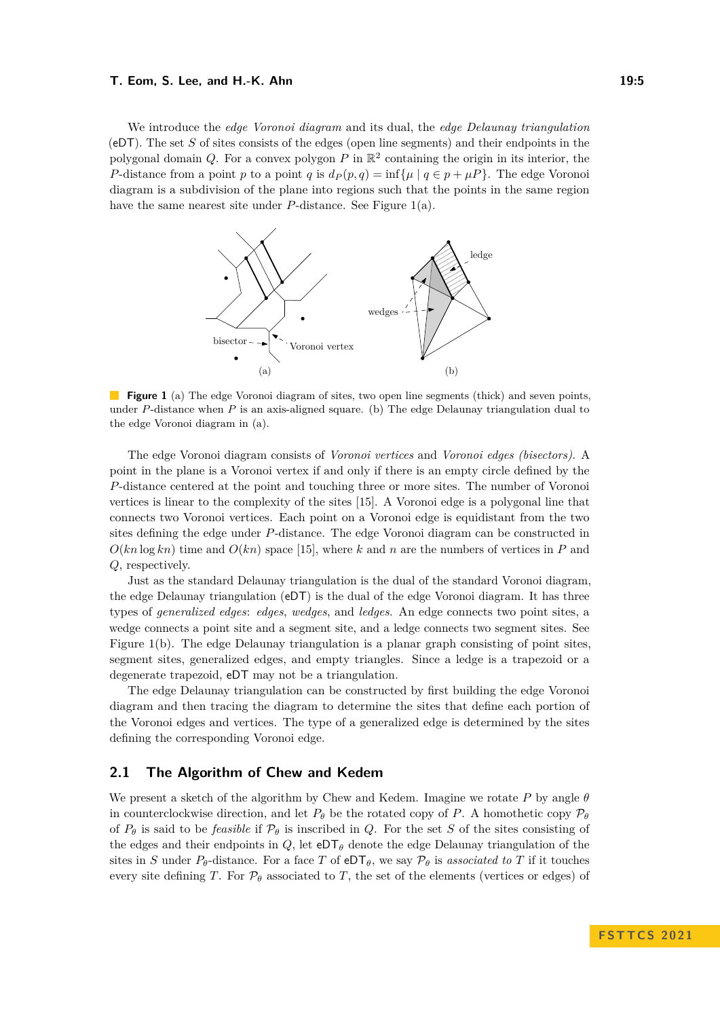We introduce the *edge Voronoi diagram* and its dual, the *edge Delaunay triangulation* (eDT). The set *S* of sites consists of the edges (open line segments) and their endpoints in the polygonal domain  $Q$ . For a convex polygon  $P$  in  $\mathbb{R}^2$  containing the origin in its interior, the *P*-distance from a point *p* to a point *q* is  $d_P(p,q) = \inf \{ \mu \mid q \in p + \mu \}$ . The edge Voronoi diagram is a subdivision of the plane into regions such that the points in the same region have the same nearest site under *P*-distance. See Figure [1\(](#page-4-0)a).

<span id="page-4-0"></span>

**Figure 1** (a) The edge Voronoi diagram of sites, two open line segments (thick) and seven points, under *P*-distance when *P* is an axis-aligned square. (b) The edge Delaunay triangulation dual to the edge Voronoi diagram in (a).

The edge Voronoi diagram consists of *Voronoi vertices* and *Voronoi edges (bisectors)*. A point in the plane is a Voronoi vertex if and only if there is an empty circle defined by the *P*-distance centered at the point and touching three or more sites. The number of Voronoi vertices is linear to the complexity of the sites [\[15\]](#page-12-5). A Voronoi edge is a polygonal line that connects two Voronoi vertices. Each point on a Voronoi edge is equidistant from the two sites defining the edge under *P*-distance. The edge Voronoi diagram can be constructed in  $O(kn \log k n)$  time and  $O(kn)$  space [\[15\]](#page-12-5), where k and n are the numbers of vertices in P and *Q*, respectively.

Just as the standard Delaunay triangulation is the dual of the standard Voronoi diagram, the edge Delaunay triangulation (eDT) is the dual of the edge Voronoi diagram. It has three types of *generalized edges*: *edges*, *wedges*, and *ledges*. An edge connects two point sites, a wedge connects a point site and a segment site, and a ledge connects two segment sites. See Figure [1\(](#page-4-0)b). The edge Delaunay triangulation is a planar graph consisting of point sites, segment sites, generalized edges, and empty triangles. Since a ledge is a trapezoid or a degenerate trapezoid, eDT may not be a triangulation.

The edge Delaunay triangulation can be constructed by first building the edge Voronoi diagram and then tracing the diagram to determine the sites that define each portion of the Voronoi edges and vertices. The type of a generalized edge is determined by the sites defining the corresponding Voronoi edge.

## **2.1 The Algorithm of Chew and Kedem**

We present a sketch of the algorithm by Chew and Kedem. Imagine we rotate *P* by angle *θ* in counterclockwise direction, and let  $P_\theta$  be the rotated copy of *P*. A homothetic copy  $P_\theta$ of  $P_{\theta}$  is said to be *feasible* if  $P_{\theta}$  is inscribed in *Q*. For the set *S* of the sites consisting of the edges and their endpoints in  $Q$ , let  $eDT_\theta$  denote the edge Delaunay triangulation of the sites in *S* under  $P_{\theta}$ -distance. For a face *T* of eDT<sub> $\theta$ </sub>, we say  $P_{\theta}$  is *associated to T* if it touches every site defining *T*. For  $P_\theta$  associated to *T*, the set of the elements (vertices or edges) of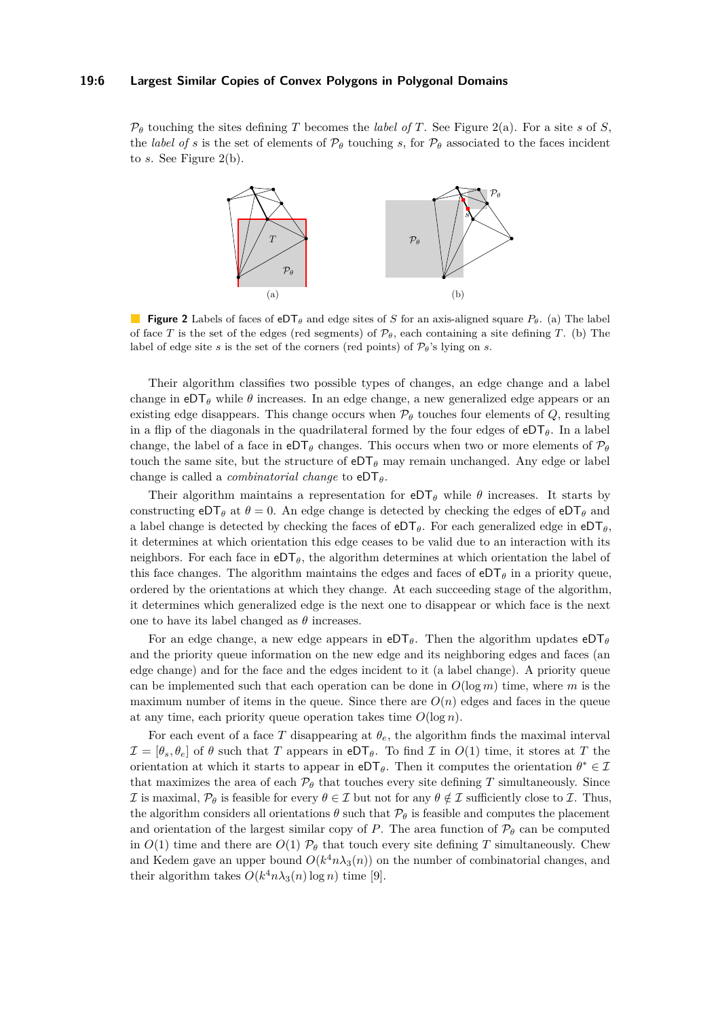#### **19:6 Largest Similar Copies of Convex Polygons in Polygonal Domains**

<span id="page-5-0"></span> $\mathcal{P}_{\theta}$  touching the sites defining *T* becomes the *label of T*. See Figure [2\(](#page-5-0)a). For a site *s* of *S*, the *label of s* is the set of elements of  $\mathcal{P}_{\theta}$  touching *s*, for  $\mathcal{P}_{\theta}$  associated to the faces incident to *s*. See Figure [2\(](#page-5-0)b).



**Figure 2** Labels of faces of eDT*<sup>θ</sup>* and edge sites of *S* for an axis-aligned square *Pθ*. (a) The label of face *T* is the set of the edges (red segments) of  $\mathcal{P}_{\theta}$ , each containing a site defining *T*. (b) The label of edge site *s* is the set of the corners (red points) of  $\mathcal{P}_{\theta}$ 's lying on *s*.

Their algorithm classifies two possible types of changes, an edge change and a label change in  $eDT_\theta$  while  $\theta$  increases. In an edge change, a new generalized edge appears or an existing edge disappears. This change occurs when  $P_{\theta}$  touches four elements of  $Q$ , resulting in a flip of the diagonals in the quadrilateral formed by the four edges of  $eDT_{\theta}$ . In a label change, the label of a face in  $eDT_\theta$  changes. This occurs when two or more elements of  $\mathcal{P}_\theta$ touch the same site, but the structure of  $eDT_\theta$  may remain unchanged. Any edge or label change is called a *combinatorial change* to eDT*θ*.

Their algorithm maintains a representation for  $eDT_\theta$  while  $\theta$  increases. It starts by constructing  $eDT_{\theta}$  at  $\theta = 0$ . An edge change is detected by checking the edges of  $eDT_{\theta}$  and a label change is detected by checking the faces of  $eDT<sub>θ</sub>$ . For each generalized edge in  $eDT<sub>θ</sub>$ , it determines at which orientation this edge ceases to be valid due to an interaction with its neighbors. For each face in  $eDT_{\theta}$ , the algorithm determines at which orientation the label of this face changes. The algorithm maintains the edges and faces of  $e^{DT}\theta$  in a priority queue, ordered by the orientations at which they change. At each succeeding stage of the algorithm, it determines which generalized edge is the next one to disappear or which face is the next one to have its label changed as  $\theta$  increases.

For an edge change, a new edge appears in  $eDT_{\theta}$ . Then the algorithm updates  $eDT_{\theta}$ and the priority queue information on the new edge and its neighboring edges and faces (an edge change) and for the face and the edges incident to it (a label change). A priority queue can be implemented such that each operation can be done in  $O(\log m)$  time, where *m* is the maximum number of items in the queue. Since there are  $O(n)$  edges and faces in the queue at any time, each priority queue operation takes time  $O(\log n)$ .

For each event of a face *T* disappearing at  $\theta_e$ , the algorithm finds the maximal interval  $\mathcal{I} = [\theta_s, \theta_e]$  of  $\theta$  such that *T* appears in eDT<sub> $\theta$ </sub>. To find *I* in  $O(1)$  time, it stores at *T* the orientation at which it starts to appear in  $e^{D\mathsf{T}}\theta$ . Then it computes the orientation  $\theta^* \in \mathcal{I}$ that maximizes the area of each  $\mathcal{P}_{\theta}$  that touches every site defining *T* simultaneously. Since I is maximal,  $\mathcal{P}_{\theta}$  is feasible for every  $\theta \in \mathcal{I}$  but not for any  $\theta \notin \mathcal{I}$  sufficiently close to  $\mathcal{I}$ . Thus, the algorithm considers all orientations  $\theta$  such that  $\mathcal{P}_{\theta}$  is feasible and computes the placement and orientation of the largest similar copy of *P*. The area function of  $\mathcal{P}_{\theta}$  can be computed in  $O(1)$  time and there are  $O(1)$   $\mathcal{P}_{\theta}$  that touch every site defining *T* simultaneously. Chew and Kedem gave an upper bound  $O(k^4 n \lambda_3(n))$  on the number of combinatorial changes, and their algorithm takes  $O(k^4 n \lambda_3(n) \log n)$  time [\[9\]](#page-12-6).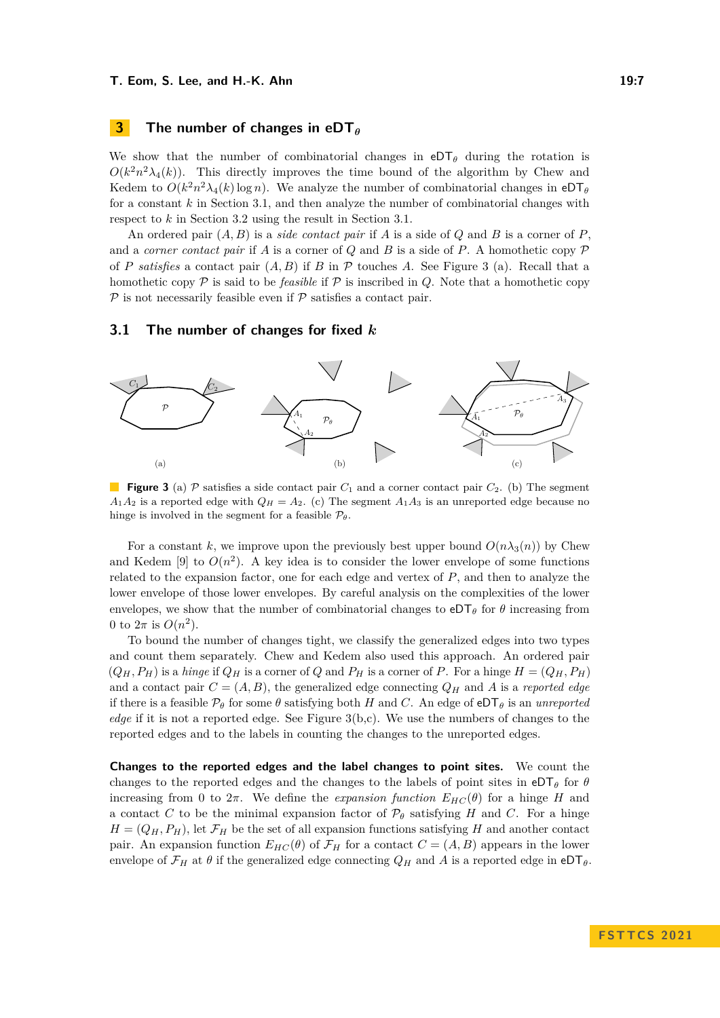## <span id="page-6-0"></span>**3 The number of changes in eDT***<sup>θ</sup>*

We show that the number of combinatorial changes in  $eDT_\theta$  during the rotation is  $O(k^2n^2\lambda_4(k))$ . This directly improves the time bound of the algorithm by Chew and Kedem to  $O(k^2n^2\lambda_4(k)\log n)$ . We analyze the number of combinatorial changes in  $eDT_\theta$ for a constant *k* in Section [3.1,](#page-6-1) and then analyze the number of combinatorial changes with respect to *k* in Section [3.2](#page-8-0) using the result in Section [3.1.](#page-6-1)

An ordered pair (*A, B*) is a *side contact pair* if *A* is a side of *Q* and *B* is a corner of *P*, and a *corner contact pair* if *A* is a corner of *Q* and *B* is a side of *P*. A homothetic copy  $\mathcal P$ of *P satisfies* a contact pair (*A, B*) if *B* in P touches *A*. See Figure [3](#page-6-2) (a). Recall that a homothetic copy  $\mathcal P$  is said to be *feasible* if  $\mathcal P$  is inscribed in *Q*. Note that a homothetic copy  $P$  is not necessarily feasible even if  $P$  satisfies a contact pair.

## <span id="page-6-1"></span>**3.1 The number of changes for fixed** *k*

<span id="page-6-2"></span>

**Figure 3** (a) P satisfies a side contact pair  $C_1$  and a corner contact pair  $C_2$ . (b) The segment  $A_1A_2$  is a reported edge with  $Q_H = A_2$ . (c) The segment  $A_1A_3$  is an unreported edge because no hinge is involved in the segment for a feasible  $\mathcal{P}_{\theta}$ .

For a constant k, we improve upon the previously best upper bound  $O(n\lambda_3(n))$  by Chew and Kedem [\[9\]](#page-12-6) to  $O(n^2)$ . A key idea is to consider the lower envelope of some functions related to the expansion factor, one for each edge and vertex of *P*, and then to analyze the lower envelope of those lower envelopes. By careful analysis on the complexities of the lower envelopes, we show that the number of combinatorial changes to  $eDT_\theta$  for  $\theta$  increasing from 0 to  $2\pi$  is  $O(n^2)$ .

To bound the number of changes tight, we classify the generalized edges into two types and count them separately. Chew and Kedem also used this approach. An ordered pair  $(Q_H, P_H)$  is a *hinge* if  $Q_H$  is a corner of  $Q$  and  $P_H$  is a corner of  $P$ . For a hinge  $H = (Q_H, P_H)$ and a contact pair  $C = (A, B)$ , the generalized edge connecting  $Q_H$  and A is a *reported edge* if there is a feasible  $\mathcal{P}_{\theta}$  for some  $\theta$  satisfying both *H* and *C*. An edge of eDT<sub> $\theta$ </sub> is an *unreported edge* if it is not a reported edge. See Figure [3\(](#page-6-2)b,c). We use the numbers of changes to the reported edges and to the labels in counting the changes to the unreported edges.

**Changes to the reported edges and the label changes to point sites.** We count the changes to the reported edges and the changes to the labels of point sites in  $e^{DT_{\theta}}$  for  $\theta$ increasing from 0 to  $2\pi$ . We define the *expansion function*  $E_{HC}(\theta)$  for a hinge *H* and a contact *C* to be the minimal expansion factor of  $\mathcal{P}_{\theta}$  satisfying *H* and *C*. For a hinge  $H = (Q_H, P_H)$ , let  $\mathcal{F}_H$  be the set of all expansion functions satisfying *H* and another contact pair. An expansion function  $E_{HC}(\theta)$  of  $\mathcal{F}_H$  for a contact  $C = (A, B)$  appears in the lower envelope of  $\mathcal{F}_H$  at  $\theta$  if the generalized edge connecting  $Q_H$  and A is a reported edge in  $eDT_\theta$ .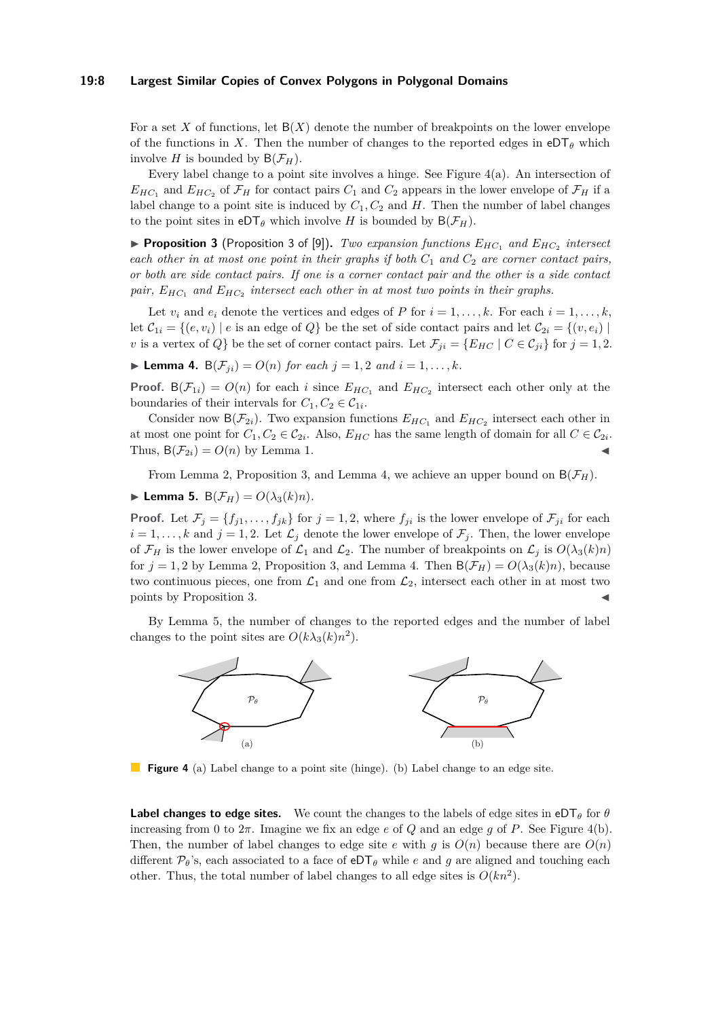#### **19:8 Largest Similar Copies of Convex Polygons in Polygonal Domains**

For a set X of functions, let  $B(X)$  denote the number of breakpoints on the lower envelope of the functions in X. Then the number of changes to the reported edges in  $eDT_\theta$  which involve *H* is bounded by  $B(\mathcal{F}_H)$ .

Every label change to a point site involves a hinge. See Figure  $4(a)$ . An intersection of  $E_{HC_1}$  and  $E_{HC_2}$  of  $\mathcal{F}_H$  for contact pairs  $C_1$  and  $C_2$  appears in the lower envelope of  $\mathcal{F}_H$  if a label change to a point site is induced by  $C_1$ ,  $C_2$  and  $H$ . Then the number of label changes to the point sites in  $eDT_\theta$  which involve *H* is bounded by  $B(\mathcal{F}_H)$ .

<span id="page-7-1"></span>▶ **Proposition 3** (Proposition 3 of [\[9\]](#page-12-6)). *Two expansion functions*  $E_{HC_1}$  *and*  $E_{HC_2}$  *intersect each other in at most one point in their graphs if both*  $C_1$  *and*  $C_2$  *are corner contact pairs, or both are side contact pairs. If one is a corner contact pair and the other is a side contact pair, EHC*<sup>1</sup> *and EHC*<sup>2</sup> *intersect each other in at most two points in their graphs.*

Let  $v_i$  and  $e_i$  denote the vertices and edges of *P* for  $i = 1, \ldots, k$ . For each  $i = 1, \ldots, k$ , let  $\mathcal{C}_{1i} = \{(e, v_i) \mid e \text{ is an edge of } Q\}$  be the set of side contact pairs and let  $\mathcal{C}_{2i} = \{(v, e_i) \mid e \text{ is an edge of } Q\}$ *v* is a vertex of *Q*} be the set of corner contact pairs. Let  $\mathcal{F}_{ii} = \{E_{HC} \mid C \in \mathcal{C}_{ii}\}$  for  $j = 1, 2$ .

<span id="page-7-2"></span>▶ **Lemma 4.**  $B(F_{ji}) = O(n)$  *for each*  $j = 1, 2$  *and*  $i = 1, ..., k$ *.* 

**Proof.**  $B(\mathcal{F}_{1i}) = O(n)$  for each *i* since  $E_{HC_1}$  and  $E_{HC_2}$  intersect each other only at the boundaries of their intervals for  $C_1, C_2 \in C_{1i}$ .

Consider now  $B(\mathcal{F}_{2i})$ . Two expansion functions  $E_{HC_1}$  and  $E_{HC_2}$  intersect each other in at most one point for  $C_1, C_2 \in C_{2i}$ . Also,  $E_{HC}$  has the same length of domain for all  $C \in C_{2i}$ . Thus,  $B(\mathcal{F}_{2i}) = O(n)$  by Lemma [1.](#page-3-0)

From Lemma [2,](#page-3-1) Proposition [3,](#page-7-1) and Lemma [4,](#page-7-2) we achieve an upper bound on  $B(\mathcal{F}_H)$ .

<span id="page-7-3"></span> $\blacktriangleright$  **Lemma 5.**  $B(\mathcal{F}_H) = O(\lambda_3(k)n)$ .

**Proof.** Let  $\mathcal{F}_j = \{f_{j1}, \ldots, f_{jk}\}\$  for  $j = 1, 2$ , where  $f_{ji}$  is the lower envelope of  $\mathcal{F}_{ji}$  for each  $i = 1, \ldots, k$  and  $j = 1, 2$ . Let  $\mathcal{L}_j$  denote the lower envelope of  $\mathcal{F}_j$ . Then, the lower envelope of  $\mathcal{F}_H$  is the lower envelope of  $\mathcal{L}_1$  and  $\mathcal{L}_2$ . The number of breakpoints on  $\mathcal{L}_j$  is  $O(\lambda_3(k)n)$ for  $j = 1, 2$  by Lemma [2,](#page-3-1) Proposition [3,](#page-7-1) and Lemma [4.](#page-7-2) Then  $B(\mathcal{F}_H) = O(\lambda_3(k)n)$ , because two continuous pieces, one from  $\mathcal{L}_1$  and one from  $\mathcal{L}_2$ , intersect each other in at most two points by Proposition [3.](#page-7-1)

By Lemma [5,](#page-7-3) the number of changes to the reported edges and the number of label changes to the point sites are  $O(k\lambda_3(k)n^2)$ .

<span id="page-7-0"></span>

**Figure 4** (a) Label change to a point site (hinge). (b) Label change to an edge site.

**Label changes to edge sites.** We count the changes to the labels of edge sites in eDT<sub> $\theta$ </sub> for  $\theta$ increasing from 0 to  $2\pi$ . Imagine we fix an edge *e* of *Q* and an edge *g* of *P*. See Figure [4\(](#page-7-0)b). Then, the number of label changes to edge site *e* with *q* is  $O(n)$  because there are  $O(n)$ different  $\mathcal{P}_{\theta}$ 's, each associated to a face of  $eDT_{\theta}$  while *e* and *g* are aligned and touching each other. Thus, the total number of label changes to all edge sites is  $O(kn^2)$ .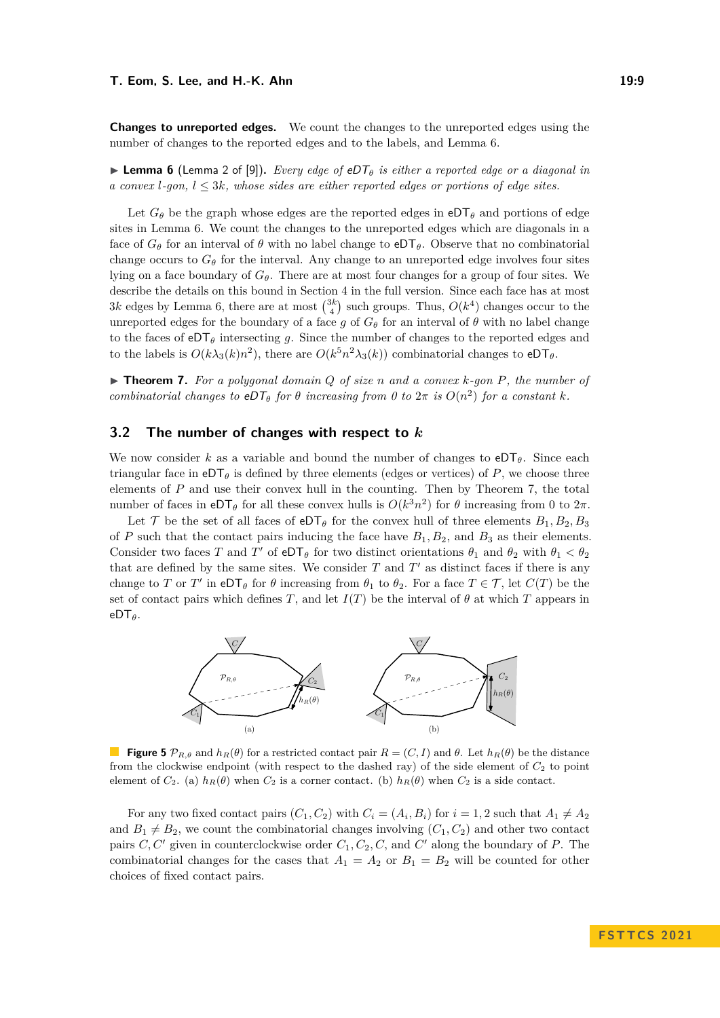**Changes to unreported edges.** We count the changes to the unreported edges using the number of changes to the reported edges and to the labels, and Lemma [6.](#page-8-1)

<span id="page-8-1"></span>▶ **Lemma 6** (Lemma 2 of [\[9\]](#page-12-6))**.** *Every edge of* eDT*<sup>θ</sup> is either a reported edge or a diagonal in a convex l-gon, l* ≤ 3*k, whose sides are either reported edges or portions of edge sites.*

Let  $G_{\theta}$  be the graph whose edges are the reported edges in eDT<sub> $\theta$ </sub> and portions of edge sites in Lemma [6.](#page-8-1) We count the changes to the unreported edges which are diagonals in a face of  $G_{\theta}$  for an interval of  $\theta$  with no label change to  $eDT_{\theta}$ . Observe that no combinatorial change occurs to  $G_{\theta}$  for the interval. Any change to an unreported edge involves four sites lying on a face boundary of *Gθ*. There are at most four changes for a group of four sites. We describe the details on this bound in Section [4](#page-11-8) in the full version. Since each face has at most  $3k$  edges by Lemma [6,](#page-8-1) there are at most  $\binom{3k}{4}$  such groups. Thus,  $O(k^4)$  changes occur to the unreported edges for the boundary of a face *g* of  $G_{\theta}$  for an interval of  $\theta$  with no label change to the faces of  $eDT_\theta$  intersecting q. Since the number of changes to the reported edges and to the labels is  $O(k\lambda_3(k)n^2)$ , there are  $O(k^5n^2\lambda_3(k))$  combinatorial changes to  $eDT_\theta$ .

<span id="page-8-2"></span>▶ **Theorem 7.** *For a polygonal domain Q of size n and a convex k-gon P, the number of combinatorial changes to*  $eDT_{\theta}$  *for*  $\theta$  *increasing from*  $\theta$  *to*  $2\pi$  *is*  $O(n^2)$  *for a constant*  $k$ *.* 

# <span id="page-8-0"></span>**3.2 The number of changes with respect to** *k*

We now consider *k* as a variable and bound the number of changes to  $eDT_{\theta}$ . Since each triangular face in  $eDT_\theta$  is defined by three elements (edges or vertices) of *P*, we choose three elements of *P* and use their convex hull in the counting. Then by Theorem [7,](#page-8-2) the total number of faces in  $eDT_\theta$  for all these convex hulls is  $O(k^3n^2)$  for  $\theta$  increasing from 0 to  $2\pi$ .

Let T be the set of all faces of  $eDT_\theta$  for the convex hull of three elements  $B_1, B_2, B_3$ of *P* such that the contact pairs inducing the face have  $B_1, B_2$ , and  $B_3$  as their elements. Consider two faces *T* and *T'* of  $eDT_\theta$  for two distinct orientations  $\theta_1$  and  $\theta_2$  with  $\theta_1 < \theta_2$ that are defined by the same sites. We consider  $T$  and  $T'$  as distinct faces if there is any change to *T* or *T'* in eDT<sub>*θ*</sub> for  $\theta$  increasing from  $\theta_1$  to  $\theta_2$ . For a face  $T \in \mathcal{T}$ , let  $C(T)$  be the set of contact pairs which defines *T*, and let  $I(T)$  be the interval of  $\theta$  at which *T* appears in eDT*θ*.

<span id="page-8-3"></span>

**Figure 5**  $\mathcal{P}_{R,\theta}$  and  $h_R(\theta)$  for a restricted contact pair  $R = (C, I)$  and  $\theta$ . Let  $h_R(\theta)$  be the distance from the clockwise endpoint (with respect to the dashed ray) of the side element of  $C_2$  to point element of  $C_2$ . (a)  $h_R(\theta)$  when  $C_2$  is a corner contact. (b)  $h_R(\theta)$  when  $C_2$  is a side contact.

For any two fixed contact pairs  $(C_1, C_2)$  with  $C_i = (A_i, B_i)$  for  $i = 1, 2$  such that  $A_1 \neq A_2$ and  $B_1 \neq B_2$ , we count the combinatorial changes involving  $(C_1, C_2)$  and other two contact pairs *C, C*′ given in counterclockwise order *C*1*, C*2*, C,* and *C* ′ along the boundary of *P*. The combinatorial changes for the cases that  $A_1 = A_2$  or  $B_1 = B_2$  will be counted for other choices of fixed contact pairs.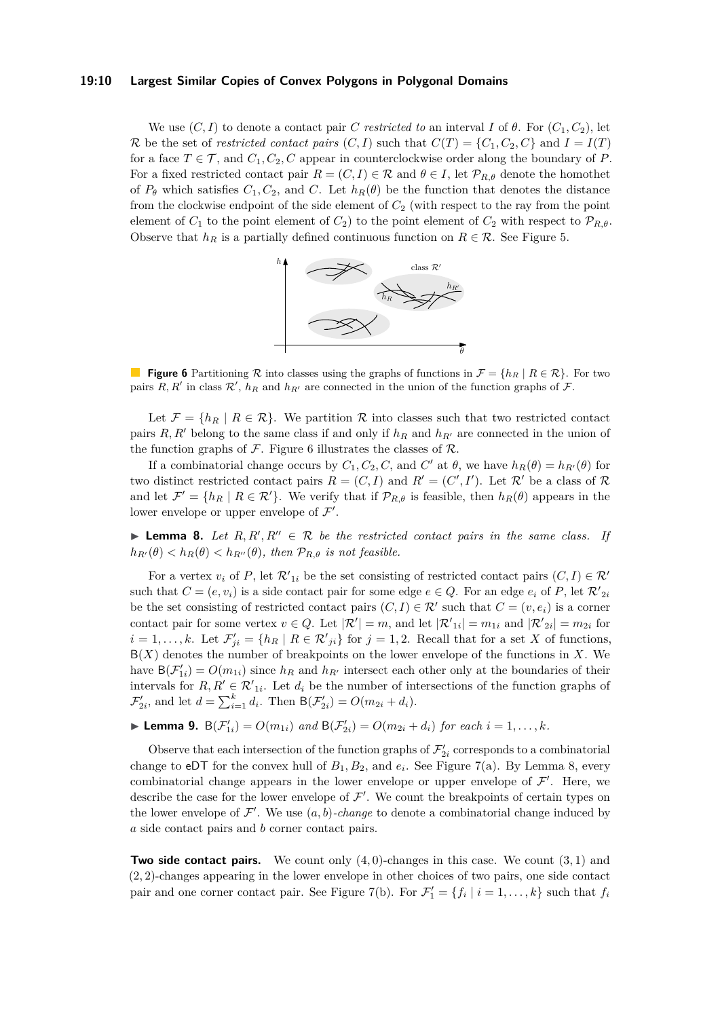#### **19:10 Largest Similar Copies of Convex Polygons in Polygonal Domains**

We use  $(C, I)$  to denote a contact pair *C restricted to* an interval *I* of  $\theta$ . For  $(C_1, C_2)$ , let R be the set of *restricted contact pairs*  $(C, I)$  such that  $C(T) = \{C_1, C_2, C\}$  and  $I = I(T)$ for a face  $T \in \mathcal{T}$ , and  $C_1, C_2, C$  appear in counterclockwise order along the boundary of P. For a fixed restricted contact pair  $R = (C, I) \in \mathcal{R}$  and  $\theta \in I$ , let  $\mathcal{P}_{R,\theta}$  denote the homothet of  $P_{\theta}$  which satisfies  $C_1, C_2$ , and  $C$ . Let  $h_R(\theta)$  be the function that denotes the distance from the clockwise endpoint of the side element of *C*<sup>2</sup> (with respect to the ray from the point element of  $C_1$  to the point element of  $C_2$ ) to the point element of  $C_2$  with respect to  $\mathcal{P}_{R,\theta}$ . Observe that  $h_R$  is a partially defined continuous function on  $R \in \mathcal{R}$ . See Figure [5.](#page-8-3)



<span id="page-9-0"></span>**Figure 6** Partitioning R into classes using the graphs of functions in  $\mathcal{F} = \{h_R \mid R \in \mathcal{R}\}\$ . For two pairs  $R, R'$  in class  $\mathcal{R}', h_R$  and  $h_{R'}$  are connected in the union of the function graphs of  $\mathcal{F}.$ 

Let  $\mathcal{F} = \{h_R \mid R \in \mathcal{R}\}\.$  We partition  $\mathcal R$  into classes such that two restricted contact pairs  $R, R'$  belong to the same class if and only if  $h_R$  and  $h_{R'}$  are connected in the union of the function graphs of  $\mathcal F$ . Figure [6](#page-9-0) illustrates the classes of  $\mathcal R$ .

If a combinatorial change occurs by  $C_1, C_2, C$ , and  $C'$  at  $\theta$ , we have  $h_R(\theta) = h_{R'}(\theta)$  for two distinct restricted contact pairs  $R = (C, I)$  and  $R' = (C', I')$ . Let  $\mathcal{R}'$  be a class of  $\mathcal{R}$ and let  $\mathcal{F}' = \{h_R \mid R \in \mathcal{R}'\}$ . We verify that if  $\mathcal{P}_{R,\theta}$  is feasible, then  $h_R(\theta)$  appears in the lower envelope or upper envelope of  $\mathcal{F}'$ .

<span id="page-9-1"></span>**Lemma 8.** Let  $R, R', R'' \in \mathcal{R}$  be the restricted contact pairs in the same class. If  $h_{R'}(\theta) < h_R(\theta) < h_{R''}(\theta)$ , then  $\mathcal{P}_{R,\theta}$  *is not feasible.* 

For a vertex  $v_i$  of P, let  $\mathcal{R}'_{1i}$  be the set consisting of restricted contact pairs  $(C, I) \in \mathcal{R}'$ such that  $C = (e, v_i)$  is a side contact pair for some edge  $e \in Q$ . For an edge  $e_i$  of P, let  $\mathcal{R'}_{2i}$ be the set consisting of restricted contact pairs  $(C, I) \in \mathcal{R}'$  such that  $C = (v, e_i)$  is a corner contact pair for some vertex  $v \in Q$ . Let  $|\mathcal{R}'| = m$ , and let  $|\mathcal{R}'_{1i}| = m_{1i}$  and  $|\mathcal{R}'_{2i}| = m_{2i}$  for  $i = 1, \ldots, k$ . Let  $\mathcal{F}'_{ji} = \{h_R \mid R \in \mathcal{R}'_{ji}\}$  for  $j = 1, 2$ . Recall that for a set *X* of functions, B(*X*) denotes the number of breakpoints on the lower envelope of the functions in *X*. We have  $B(\mathcal{F}'_{1i}) = O(m_{1i})$  since  $h_R$  and  $h_{R'}$  intersect each other only at the boundaries of their intervals for  $R, R' \in \mathcal{R}'_{1i}$ . Let  $d_i$  be the number of intersections of the function graphs of  $\mathcal{F}'_{2i}$ , and let  $d = \sum_{i=1}^{k} d_i$ . Then  $B(\mathcal{F}'_{2i}) = O(m_{2i} + d_i)$ .

<span id="page-9-2"></span>
$$
\blacktriangleright
$$
 Lemma 9.  $B(\mathcal{F}'_{1i}) = O(m_{1i})$  and  $B(\mathcal{F}'_{2i}) = O(m_{2i} + d_i)$  for each  $i = 1, ..., k$ .

Observe that each intersection of the function graphs of  $\mathcal{F}'_{2i}$  corresponds to a combinatorial change to eDT for the convex hull of  $B_1, B_2$ , and  $e_i$ . See Figure [7\(](#page-10-0)a). By Lemma [8,](#page-9-1) every combinatorial change appears in the lower envelope or upper envelope of  $\mathcal{F}'$ . Here, we describe the case for the lower envelope of  $\mathcal{F}'$ . We count the breakpoints of certain types on the lower envelope of  $\mathcal{F}'$ . We use  $(a, b)$ -*change* to denote a combinatorial change induced by *a* side contact pairs and *b* corner contact pairs.

**Two side contact pairs.** We count only (4*,* 0)-changes in this case. We count (3*,* 1) and (2*,* 2)-changes appearing in the lower envelope in other choices of two pairs, one side contact pair and one corner contact pair. See Figure [7\(](#page-10-0)b). For  $\mathcal{F}'_1 = \{f_i \mid i = 1, ..., k\}$  such that  $f_i$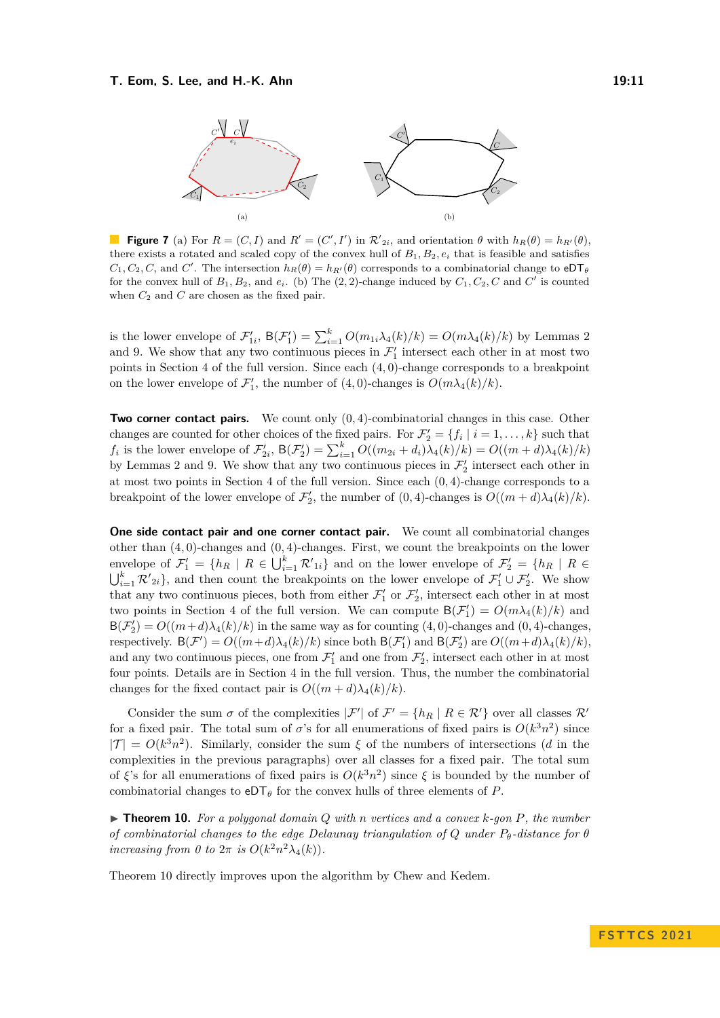<span id="page-10-0"></span>

**Figure 7** (a) For  $R = (C, I)$  and  $R' = (C', I')$  in  $\mathcal{R}'_{2i}$ , and orientation  $\theta$  with  $h_R(\theta) = h_{R'}(\theta)$ , there exists a rotated and scaled copy of the convex hull of  $B_1, B_2, e_i$  that is feasible and satisfies  $C_1, C_2, C$ , and *C*'. The intersection  $h_R(\theta) = h_{R'}(\theta)$  corresponds to a combinatorial change to eDT<sub> $\theta$ </sub> for the convex hull of  $B_1, B_2$ , and  $e_i$ . (b) The  $(2, 2)$ -change induced by  $C_1, C_2, C$  and  $C'$  is counted when  $C_2$  and  $C$  are chosen as the fixed pair.

is the lower envelope of  $\mathcal{F}'_{1i}$ ,  $B(\mathcal{F}'_1) = \sum_{i=1}^k O(m_{1i}\lambda_4(k)/k) = O(m\lambda_4(k)/k)$  by Lemmas [2](#page-3-1) and [9.](#page-9-2) We show that any two continuous pieces in  $\mathcal{F}'_1$  intersect each other in at most two points in Section [4](#page-11-8) of the full version. Since each (4*,* 0)-change corresponds to a breakpoint on the lower envelope of  $\mathcal{F}'_1$ , the number of  $(4,0)$ -changes is  $O(m\lambda_4(k)/k)$ .

**Two corner contact pairs.** We count only (0*,* 4)-combinatorial changes in this case. Other changes are counted for other choices of the fixed pairs. For  $\mathcal{F}'_2 = \{f_i \mid i = 1, ..., k\}$  such that  $f_i$  is the lower envelope of  $\mathcal{F}'_{2i}$ ,  $B(\mathcal{F}'_2) = \sum_{i=1}^k O((m_{2i} + d_i)\overline{\lambda}_4(k)/k) = O((m+d)\lambda_4(k)/k)$ by Lemmas [2](#page-3-1) and [9.](#page-9-2) We show that any two continuous pieces in  $\mathcal{F}'_2$  intersect each other in at most two points in Section [4](#page-11-8) of the full version. Since each (0*,* 4)-change corresponds to a breakpoint of the lower envelope of  $\mathcal{F}'_2$ , the number of  $(0, 4)$ -changes is  $O((m + d)\lambda_4(k)/k)$ .

**One side contact pair and one corner contact pair.** We count all combinatorial changes other than (4*,* 0)-changes and (0*,* 4)-changes. First, we count the breakpoints on the lower envelope of  $\mathcal{F}'_1 = \{h_R \mid R \in \bigcup_{i=1}^k \mathcal{R}'_{1i}\}\$ and on the lower envelope of  $\mathcal{F}'_2 = \{h_R \mid R \in \mathcal{R}'\}$  $\bigcup_{i=1}^k \mathcal{R}'_{2i}$ , and then count the breakpoints on the lower envelope of  $\mathcal{F}'_1 \cup \mathcal{F}'_2$ . We show that any two continuous pieces, both from either  $\mathcal{F}'_1$  or  $\mathcal{F}'_2$ , intersect each other in at most two points in Section [4](#page-11-8) of the full version. We can compute  $B(\mathcal{F}'_1) = O(m\lambda_4(k)/k)$  and  $B(\mathcal{F}'_2) = O((m+d)\lambda_4(k)/k)$  in the same way as for counting (4,0)-changes and (0,4)-changes, respectively.  $B(F') = O((m+d)\lambda_4(k)/k)$  since both  $B(F'_1)$  and  $B(F'_2)$  are  $O((m+d)\lambda_4(k)/k)$ , and any two continuous pieces, one from  $\mathcal{F}'_1$  and one from  $\mathcal{F}'_2$ , intersect each other in at most four points. Details are in Section [4](#page-11-8) in the full version. Thus, the number the combinatorial changes for the fixed contact pair is  $O((m+d)\lambda_4(k)/k)$ .

Consider the sum  $\sigma$  of the complexities  $|\mathcal{F}'|$  of  $\mathcal{F}' = \{h_R \mid R \in \mathcal{R}'\}$  over all classes  $\mathcal{R}'$ for a fixed pair. The total sum of  $\sigma$ 's for all enumerations of fixed pairs is  $O(k^3n^2)$  since  $|\mathcal{T}| = O(k^3 n^2)$ . Similarly, consider the sum  $\xi$  of the numbers of intersections (*d* in the complexities in the previous paragraphs) over all classes for a fixed pair. The total sum of *ξ*'s for all enumerations of fixed pairs is  $O(k^3n^2)$  since *ξ* is bounded by the number of combinatorial changes to  $eDT_\theta$  for the convex hulls of three elements of *P*.

<span id="page-10-1"></span>▶ **Theorem 10.** *For a polygonal domain Q with n vertices and a convex k-gon P, the number of combinatorial changes to the edge Delaunay triangulation of Q under Pθ-distance for θ increasing from 0 to*  $2\pi$  *is*  $O(k^2n^2\lambda_4(k))$ *.* 

Theorem [10](#page-10-1) directly improves upon the algorithm by Chew and Kedem.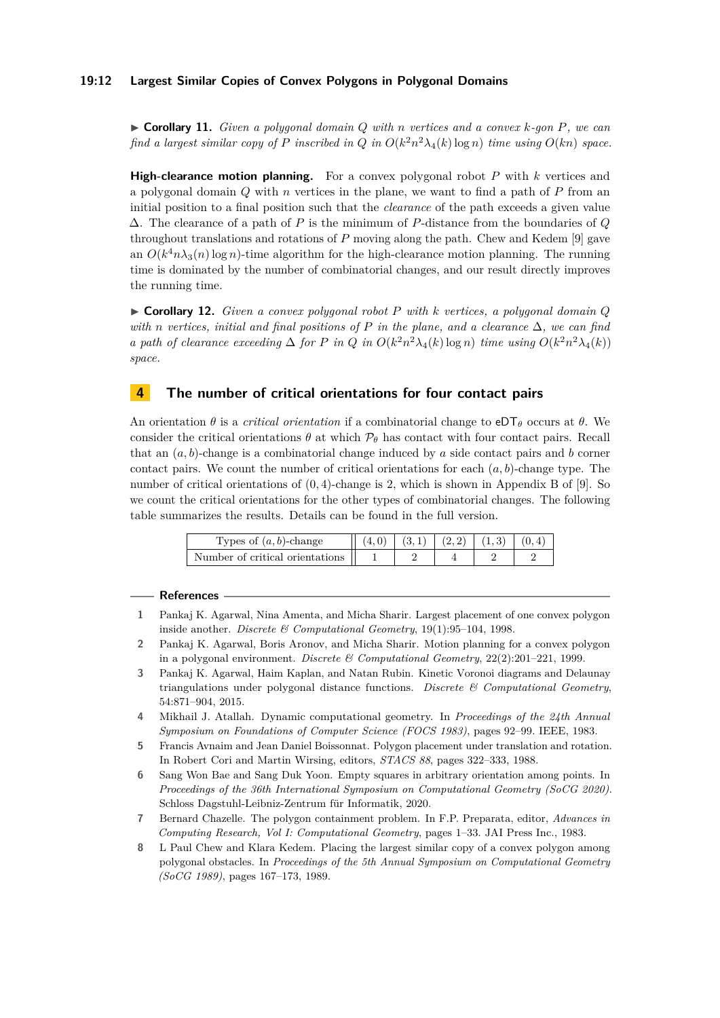## **19:12 Largest Similar Copies of Convex Polygons in Polygonal Domains**

▶ **Corollary 11.** *Given a polygonal domain Q with n vertices and a convex k-gon P, we can find a largest similar copy of*  $P$  *inscribed in*  $Q$  *in*  $O(k^2n^2\lambda_4(k)\log n)$  *time using*  $O(kn)$  *space.* 

**High-clearance motion planning.** For a convex polygonal robot *P* with *k* vertices and a polygonal domain *Q* with *n* vertices in the plane, we want to find a path of *P* from an initial position to a final position such that the *clearance* of the path exceeds a given value ∆. The clearance of a path of *P* is the minimum of *P*-distance from the boundaries of *Q* throughout translations and rotations of *P* moving along the path. Chew and Kedem [\[9\]](#page-12-6) gave an  $O(k^4 n \lambda_3(n) \log n)$ -time algorithm for the high-clearance motion planning. The running time is dominated by the number of combinatorial changes, and our result directly improves the running time.

▶ **Corollary 12.** *Given a convex polygonal robot P with k vertices, a polygonal domain Q with n vertices, initial and final positions of P in the plane, and a clearance* ∆*, we can find a path of clearance exceeding*  $\Delta$  *for P in Q in*  $O(k^2n^2\lambda_4(k)\log n)$  *time using*  $O(k^2n^2\lambda_4(k))$ *space.*

## <span id="page-11-8"></span>**4 The number of critical orientations for four contact pairs**

An orientation  $\theta$  is a *critical orientation* if a combinatorial change to eDT<sub> $\theta$ </sub> occurs at  $\theta$ . We consider the critical orientations  $\theta$  at which  $\mathcal{P}_{\theta}$  has contact with four contact pairs. Recall that an  $(a, b)$ -change is a combinatorial change induced by  $a$  side contact pairs and  $b$  corner contact pairs. We count the number of critical orientations for each (*a, b*)-change type. The number of critical orientations of (0*,* 4)-change is 2, which is shown in Appendix B of [\[9\]](#page-12-6). So we count the critical orientations for the other types of combinatorial changes. The following table summarizes the results. Details can be found in the full version.

| Types of $(a, b)$ -change       | $(4.0)$ |  | $(3,1)$ $(2,2)$ $(1,3)$ $(0,4)$ |  |
|---------------------------------|---------|--|---------------------------------|--|
| Number of critical orientations |         |  |                                 |  |

#### **References**

- <span id="page-11-4"></span>**1** Pankaj K. Agarwal, Nina Amenta, and Micha Sharir. Largest placement of one convex polygon inside another. *Discrete & Computational Geometry*, 19(1):95–104, 1998.
- <span id="page-11-3"></span>**2** Pankaj K. Agarwal, Boris Aronov, and Micha Sharir. Motion planning for a convex polygon in a polygonal environment. *Discrete & Computational Geometry*, 22(2):201–221, 1999.
- <span id="page-11-6"></span>**3** Pankaj K. Agarwal, Haim Kaplan, and Natan Rubin. Kinetic Voronoi diagrams and Delaunay triangulations under polygonal distance functions. *Discrete & Computational Geometry*, 54:871–904, 2015.
- <span id="page-11-7"></span>**4** Mikhail J. Atallah. Dynamic computational geometry. In *Proceedings of the 24th Annual Symposium on Foundations of Computer Science (FOCS 1983)*, pages 92–99. IEEE, 1983.
- <span id="page-11-1"></span>**5** Francis Avnaim and Jean Daniel Boissonnat. Polygon placement under translation and rotation. In Robert Cori and Martin Wirsing, editors, *STACS 88*, pages 322–333, 1988.
- <span id="page-11-5"></span>**6** Sang Won Bae and Sang Duk Yoon. Empty squares in arbitrary orientation among points. In *Proceedings of the 36th International Symposium on Computational Geometry (SoCG 2020)*. Schloss Dagstuhl-Leibniz-Zentrum für Informatik, 2020.
- <span id="page-11-0"></span>**7** Bernard Chazelle. The polygon containment problem. In F.P. Preparata, editor, *Advances in Computing Research, Vol I: Computational Geometry*, pages 1–33. JAI Press Inc., 1983.
- <span id="page-11-2"></span>**8** L Paul Chew and Klara Kedem. Placing the largest similar copy of a convex polygon among polygonal obstacles. In *Proceedings of the 5th Annual Symposium on Computational Geometry (SoCG 1989)*, pages 167–173, 1989.